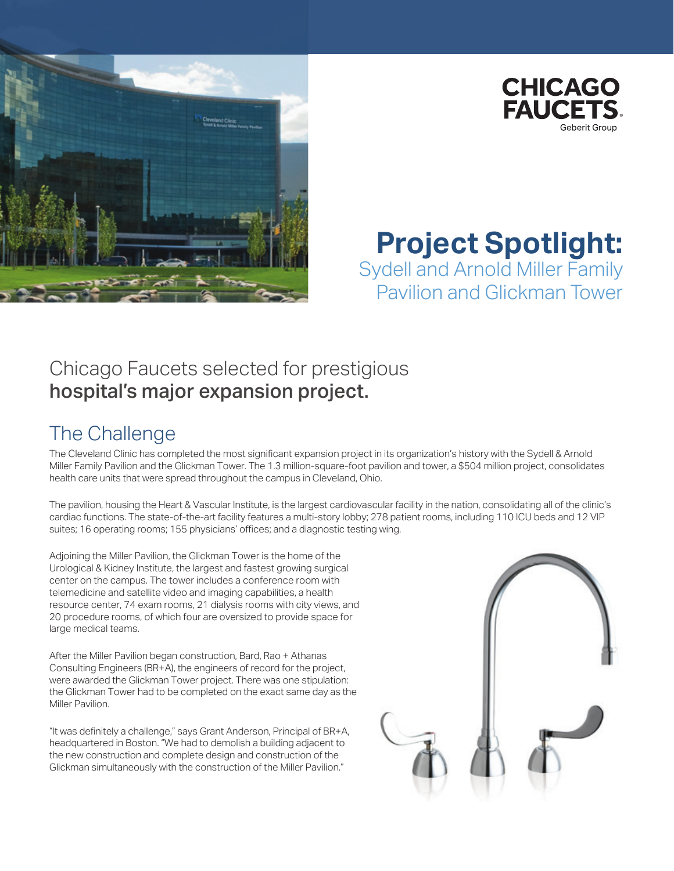



### **Project Spotlight:** Sydell and Arnold Miller Family Pavilion and Glickman Tower

## Chicago Faucets selected for prestigious hospital's major expansion project.

# The Challenge

The Cleveland Clinic has completed the most significant expansion project in its organization's history with the Sydell & Arnold Miller Family Pavilion and the Glickman Tower. The 1.3 million-square-foot pavilion and tower, a \$504 million project, consolidates health care units that were spread throughout the campus in Cleveland, Ohio.

The pavilion, housing the Heart & Vascular Institute, is the largest cardiovascular facility in the nation, consolidating all of the clinic's cardiac functions. The state-of-the-art facility features a multi-story lobby; 278 patient rooms, including 110 ICU beds and 12 VIP suites; 16 operating rooms; 155 physicians' offices; and a diagnostic testing wing.

Adjoining the Miller Pavilion, the Glickman Tower is the home of the Urological & Kidney Institute, the largest and fastest growing surgical center on the campus. The tower includes a conference room with telemedicine and satellite video and imaging capabilities, a health resource center, 74 exam rooms, 21 dialysis rooms with city views, and 20 procedure rooms, of which four are oversized to provide space for large medical teams.

After the Miller Pavilion began construction, Bard, Rao + Athanas Consulting Engineers (BR+A), the engineers of record for the project, were awarded the Glickman Tower project. There was one stipulation: the Glickman Tower had to be completed on the exact same day as the Miller Pavilion.

"It was definitely a challenge," says Grant Anderson, Principal of BR+A, headquartered in Boston. "We had to demolish a building adjacent to the new construction and complete design and construction of the Glickman simultaneously with the construction of the Miller Pavilion."